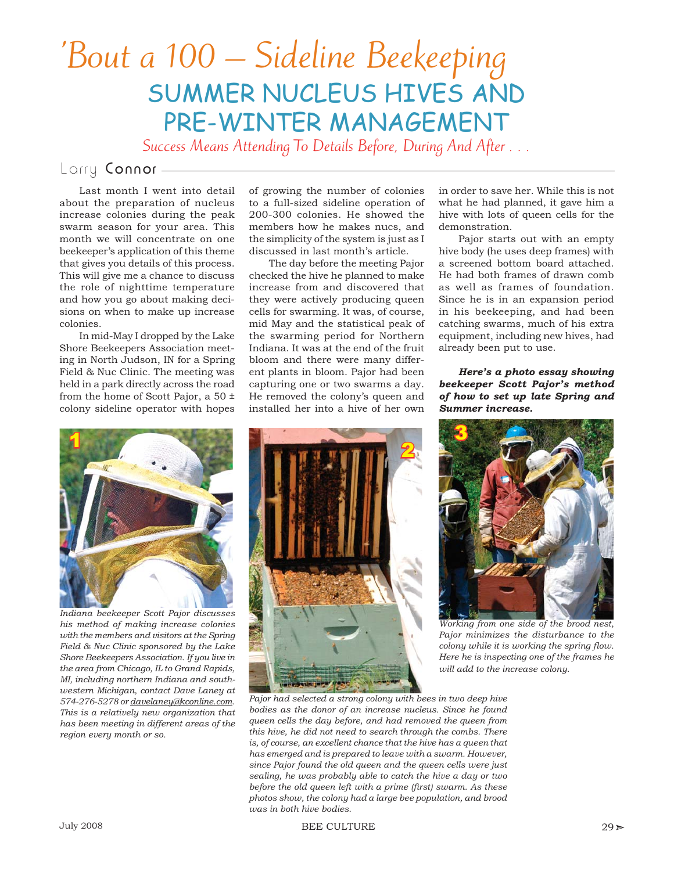# 'Bout a 100 – Sideline Beekeeping SUMMER NUCLEUS HIVES AND PRE-WINTER MANAGEMENT

Success Means Attending To Details Before, During And After . . .

# Larry Connor —

Last month I went into detail about the preparation of nucleus increase colonies during the peak swarm season for your area. This month we will concentrate on one beekeeper's application of this theme that gives you details of this process. This will give me a chance to discuss the role of nighttime temperature and how you go about making decisions on when to make up increase colonies.

In mid-May I dropped by the Lake Shore Beekeepers Association meeting in North Judson, IN for a Spring Field & Nuc Clinic. The meeting was held in a park directly across the road from the home of Scott Pajor, a 50 ± colony sideline operator with hopes

*Indiana beekeeper Scott Pajor discusses his method of making increase colonies with the members and visitors at the Spring Field & Nuc Clinic sponsored by the Lake Shore Beekeepers Association. If you live in the area from Chicago, IL to Grand Rapids, MI, including northern Indiana and southwestern Michigan, contact Dave Laney at 574-276-5278 or davelaney@kconline.com. This is a relatively new organization that has been meeting in different areas of the region every month or so.*

of growing the number of colonies to a full-sized sideline operation of 200-300 colonies. He showed the members how he makes nucs, and the simplicity of the system is just as I discussed in last month's article.

The day before the meeting Pajor checked the hive he planned to make increase from and discovered that they were actively producing queen cells for swarming. It was, of course, mid May and the statistical peak of the swarming period for Northern Indiana. It was at the end of the fruit bloom and there were many different plants in bloom. Pajor had been capturing one or two swarms a day. He removed the colony's queen and installed her into a hive of her own

in order to save her. While this is not what he had planned, it gave him a hive with lots of queen cells for the demonstration.

Pajor starts out with an empty hive body (he uses deep frames) with a screened bottom board attached. He had both frames of drawn comb as well as frames of foundation. Since he is in an expansion period in his beekeeping, and had been catching swarms, much of his extra equipment, including new hives, had already been put to use.

## *Here's a photo essay showing beekeeper Scott Pajor's method of how to set up late Spring and Summer increase.*





*Working from one side of the brood nest, Pajor minimizes the disturbance to the colony while it is working the spring flow. Here he is inspecting one of the frames he will add to the increase colony.* 

*Pajor had selected a strong colony with bees in two deep hive bodies as the donor of an increase nucleus. Since he found queen cells the day before, and had removed the queen from this hive, he did not need to search through the combs. There is, of course, an excellent chance that the hive has a queen that has emerged and is prepared to leave with a swarm. However, since Pajor found the old queen and the queen cells were just sealing, he was probably able to catch the hive a day or two before the old queen left with a prime (first) swarm. As these photos show, the colony had a large bee population, and brood was in both hive bodies.*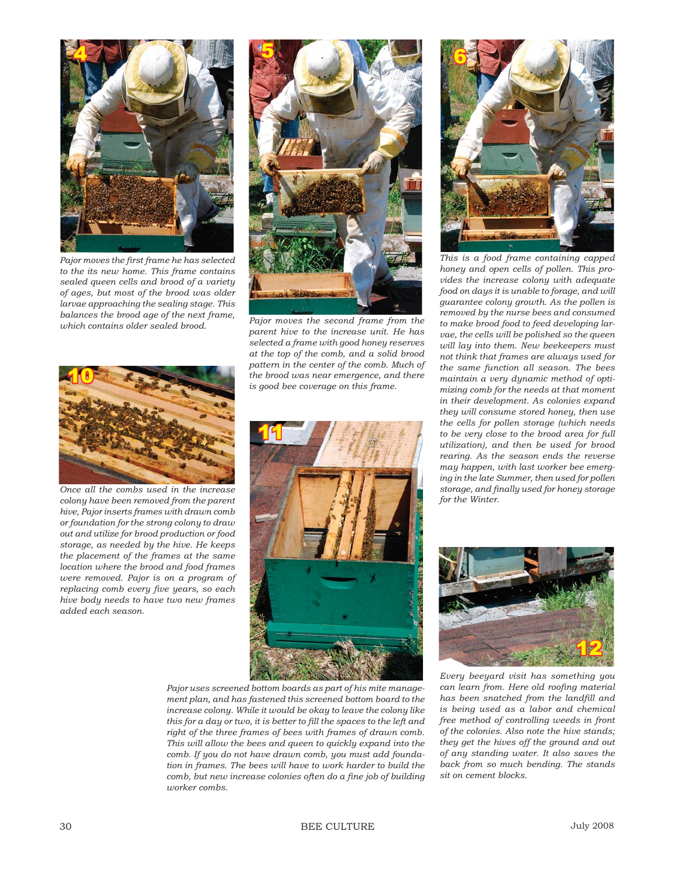

*Pajor moves the fi rst frame he has selected to the its new home. This frame contains sealed queen cells and brood of a variety of ages, but most of the brood was older larvae approaching the sealing stage. This balances the brood age of the next frame, which contains older sealed brood. Pajor moves the second frame from the which contains older sealed brood.* 



*parent hive to the increase unit. He has selected a frame with good honey reserves at the top of the comb, and a solid brood pattern in the center of the comb. Much of the brood was near emergence, and there is good bee coverage on this frame.*



*Once all the combs used in the increase colony have been removed from the parent hive, Pajor inserts frames with drawn comb or foundation for the strong colony to draw out and utilize for brood production or food storage, as needed by the hive. He keeps the placement of the frames at the same location where the brood and food frames were removed. Pajor is on a program of replacing comb every five years, so each hive body needs to have two new frames added each season.*



*Pajor uses screened bottom boards as part of his mite management plan, and has fastened this screened bottom board to the increase colony. While it would be okay to leave the colony like*  this for a day or two, it is better to fill the spaces to the left and *right of the three frames of bees with frames of drawn comb. This will allow the bees and queen to quickly expand into the comb. If you do not have drawn comb, you must add foundation in frames. The bees will have to work harder to build the*  comb, but new increase colonies often do a fine job of building *worker combs.*



*This is a food frame containing capped honey and open cells of pollen. This provides the increase colony with adequate food on days it is unable to forage, and will guarantee colony growth. As the pollen is removed by the nurse bees and consumed to make brood food to feed developing larvae, the cells will be polished so the queen will lay into them. New beekeepers must not think that frames are always used for the same function all season. The bees maintain a very dynamic method of optimizing comb for the needs at that moment in their development. As colonies expand they will consume stored honey, then use the cells for pollen storage (which needs to be very close to the brood area for full utilization), and then be used for brood rearing. As the season ends the reverse may happen, with last worker bee emerging in the late Summer, then used for pollen storage, and fi nally used for honey storage for the Winter.*



*Every beeyard visit has something you*  can learn from. Here old roofing material has been snatched from the landfill and *is being used as a labor and chemical free method of controlling weeds in front of the colonies. Also note the hive stands; they get the hives off the ground and out of any standing water. It also saves the back from so much bending. The stands sit on cement blocks.*